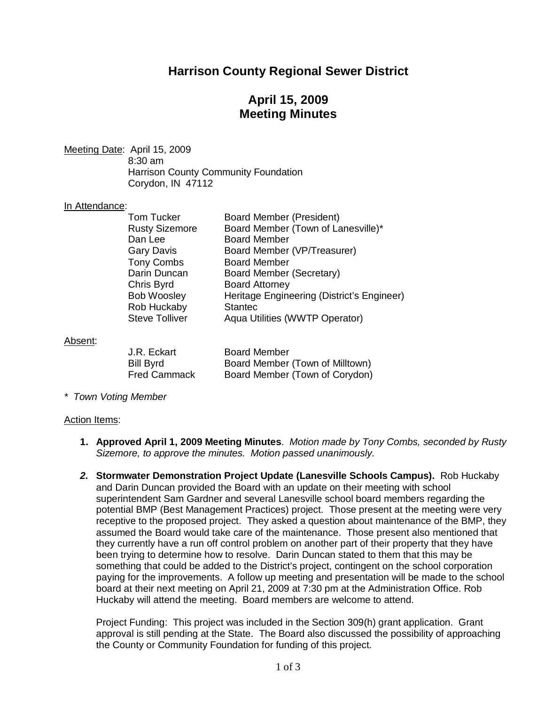# **Harrison County Regional Sewer District**

# **April 15, 2009 Meeting Minutes**

Meeting Date: April 15, 2009 8:30 am Harrison County Community Foundation Corydon, IN 47112

### In Attendance:

| <b>Tom Tucker</b>     | <b>Board Member (President)</b>            |
|-----------------------|--------------------------------------------|
| <b>Rusty Sizemore</b> | Board Member (Town of Lanesville)*         |
| Dan Lee               | <b>Board Member</b>                        |
| <b>Gary Davis</b>     | Board Member (VP/Treasurer)                |
| <b>Tony Combs</b>     | <b>Board Member</b>                        |
| Darin Duncan          | Board Member (Secretary)                   |
| Chris Byrd            | <b>Board Attorney</b>                      |
| <b>Bob Woosley</b>    | Heritage Engineering (District's Engineer) |
| Rob Huckaby           | <b>Stantec</b>                             |
| <b>Steve Tolliver</b> | Aqua Utilities (WWTP Operator)             |
|                       |                                            |

### Absent:

| J.R. Eckart         | <b>Board Member</b>             |
|---------------------|---------------------------------|
| Bill Byrd           | Board Member (Town of Milltown) |
| <b>Fred Cammack</b> | Board Member (Town of Corydon)  |

*\* Town Voting Member*

#### Action Items:

- **1. Approved April 1, 2009 Meeting Minutes**. *Motion made by Tony Combs, seconded by Rusty Sizemore, to approve the minutes. Motion passed unanimously.*
- *2.* **Stormwater Demonstration Project Update (Lanesville Schools Campus).** Rob Huckaby and Darin Duncan provided the Board with an update on their meeting with school superintendent Sam Gardner and several Lanesville school board members regarding the potential BMP (Best Management Practices) project. Those present at the meeting were very receptive to the proposed project. They asked a question about maintenance of the BMP, they assumed the Board would take care of the maintenance. Those present also mentioned that they currently have a run off control problem on another part of their property that they have been trying to determine how to resolve. Darin Duncan stated to them that this may be something that could be added to the District's project, contingent on the school corporation paying for the improvements. A follow up meeting and presentation will be made to the school board at their next meeting on April 21, 2009 at 7:30 pm at the Administration Office. Rob Huckaby will attend the meeting. Board members are welcome to attend.

Project Funding: This project was included in the Section 309(h) grant application. Grant approval is still pending at the State. The Board also discussed the possibility of approaching the County or Community Foundation for funding of this project.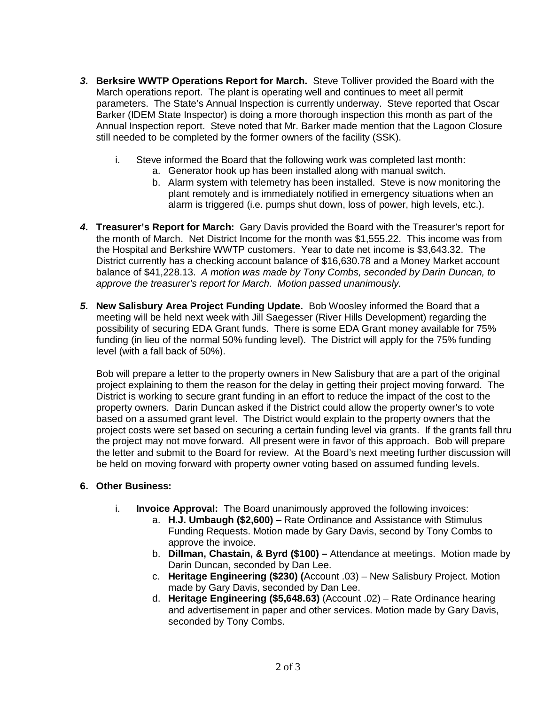- *3.* **Berksire WWTP Operations Report for March.** Steve Tolliver provided the Board with the March operations report. The plant is operating well and continues to meet all permit parameters. The State's Annual Inspection is currently underway. Steve reported that Oscar Barker (IDEM State Inspector) is doing a more thorough inspection this month as part of the Annual Inspection report. Steve noted that Mr. Barker made mention that the Lagoon Closure still needed to be completed by the former owners of the facility (SSK).
	- i. Steve informed the Board that the following work was completed last month:
		- a. Generator hook up has been installed along with manual switch.
		- b. Alarm system with telemetry has been installed. Steve is now monitoring the plant remotely and is immediately notified in emergency situations when an alarm is triggered (i.e. pumps shut down, loss of power, high levels, etc.).
- *4.* **Treasurer's Report for March:** Gary Davis provided the Board with the Treasurer's report for the month of March. Net District Income for the month was \$1,555.22. This income was from the Hospital and Berkshire WWTP customers. Year to date net income is \$3,643.32. The District currently has a checking account balance of \$16,630.78 and a Money Market account balance of \$41,228.13. *A motion was made by Tony Combs, seconded by Darin Duncan, to approve the treasurer's report for March. Motion passed unanimously.*
- *5.* **New Salisbury Area Project Funding Update.** Bob Woosley informed the Board that a meeting will be held next week with Jill Saegesser (River Hills Development) regarding the possibility of securing EDA Grant funds. There is some EDA Grant money available for 75% funding (in lieu of the normal 50% funding level). The District will apply for the 75% funding level (with a fall back of 50%).

Bob will prepare a letter to the property owners in New Salisbury that are a part of the original project explaining to them the reason for the delay in getting their project moving forward. The District is working to secure grant funding in an effort to reduce the impact of the cost to the property owners. Darin Duncan asked if the District could allow the property owner's to vote based on a assumed grant level. The District would explain to the property owners that the project costs were set based on securing a certain funding level via grants. If the grants fall thru the project may not move forward. All present were in favor of this approach. Bob will prepare the letter and submit to the Board for review. At the Board's next meeting further discussion will be held on moving forward with property owner voting based on assumed funding levels.

## **6. Other Business:**

- i. **Invoice Approval:** The Board unanimously approved the following invoices:
	- a. **H.J. Umbaugh (\$2,600)** Rate Ordinance and Assistance with Stimulus Funding Requests. Motion made by Gary Davis, second by Tony Combs to approve the invoice.
	- b. **Dillman, Chastain, & Byrd (\$100) –** Attendance at meetings. Motion made by Darin Duncan, seconded by Dan Lee.
	- c. **Heritage Engineering (\$230) (**Account .03) New Salisbury Project. Motion made by Gary Davis, seconded by Dan Lee.
	- d. **Heritage Engineering (\$5,648.63)** (Account .02) Rate Ordinance hearing and advertisement in paper and other services. Motion made by Gary Davis, seconded by Tony Combs.